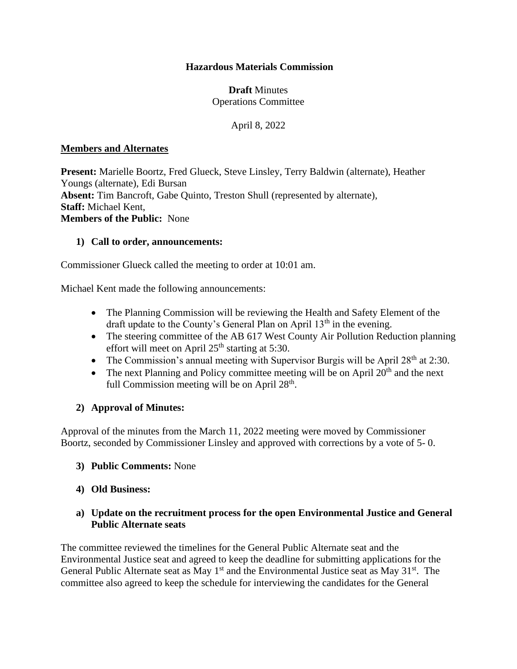## **Hazardous Materials Commission**

## **Draft** Minutes Operations Committee

April 8, 2022

#### **Members and Alternates**

**Present:** Marielle Boortz, Fred Glueck, Steve Linsley, Terry Baldwin (alternate), Heather Youngs (alternate), Edi Bursan **Absent:** Tim Bancroft, Gabe Quinto, Treston Shull (represented by alternate), **Staff:** Michael Kent, **Members of the Public:** None

#### **1) Call to order, announcements:**

Commissioner Glueck called the meeting to order at 10:01 am.

Michael Kent made the following announcements:

- The Planning Commission will be reviewing the Health and Safety Element of the draft update to the County's General Plan on April  $13<sup>th</sup>$  in the evening.
- The steering committee of the AB 617 West County Air Pollution Reduction planning effort will meet on April  $25<sup>th</sup>$  starting at 5:30.
- The Commission's annual meeting with Supervisor Burgis will be April  $28<sup>th</sup>$  at 2:30.
- The next Planning and Policy committee meeting will be on April  $20<sup>th</sup>$  and the next full Commission meeting will be on April  $28<sup>th</sup>$ .

#### **2) Approval of Minutes:**

Approval of the minutes from the March 11, 2022 meeting were moved by Commissioner Boortz, seconded by Commissioner Linsley and approved with corrections by a vote of 5- 0.

- **3) Public Comments:** None
- **4) Old Business:**

#### **a) Update on the recruitment process for the open Environmental Justice and General Public Alternate seats**

The committee reviewed the timelines for the General Public Alternate seat and the Environmental Justice seat and agreed to keep the deadline for submitting applications for the General Public Alternate seat as May  $1<sup>st</sup>$  and the Environmental Justice seat as May  $31<sup>st</sup>$ . The committee also agreed to keep the schedule for interviewing the candidates for the General